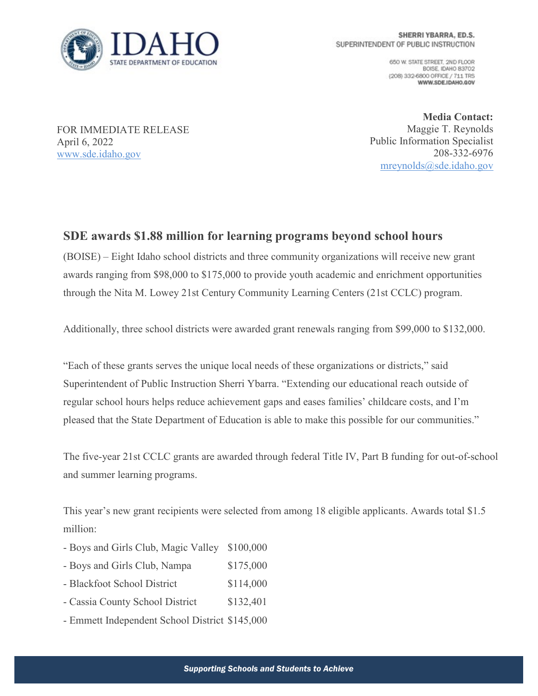

650 W. STATE STREET, 2ND FLOOR BOISE IDAHO 83702 (208) 332-6800 OFFICE / 711 TRS WWW.SDE.IDAHO.GOV

FOR IMMEDIATE RELEASE April 6, 2022 [www.sde.idaho.gov](http://www.sde.idaho.gov/)

**Media Contact:** Maggie T. Reynolds Public Information Specialist 208-332-6976 [mreynolds@sde.idaho.gov](mailto:mreynolds@sde.idaho.gov)

## **SDE awards \$1.88 million for learning programs beyond school hours**

(BOISE) – Eight Idaho school districts and three community organizations will receive new grant awards ranging from \$98,000 to \$175,000 to provide youth academic and enrichment opportunities through the Nita M. Lowey 21st Century Community Learning Centers (21st CCLC) program.

Additionally, three school districts were awarded grant renewals ranging from \$99,000 to \$132,000.

"Each of these grants serves the unique local needs of these organizations or districts," said Superintendent of Public Instruction Sherri Ybarra. "Extending our educational reach outside of regular school hours helps reduce achievement gaps and eases families' childcare costs, and I'm pleased that the State Department of Education is able to make this possible for our communities."

The five-year 21st CCLC grants are awarded through federal Title IV, Part B funding for out-of-school and summer learning programs.

This year's new grant recipients were selected from among 18 eligible applicants. Awards total \$1.5 million:

- Boys and Girls Club, Magic Valley \$100,000
- Boys and Girls Club, Nampa \$175,000
- Blackfoot School District \$114,000
- Cassia County School District \$132,401
- Emmett Independent School District \$145,000